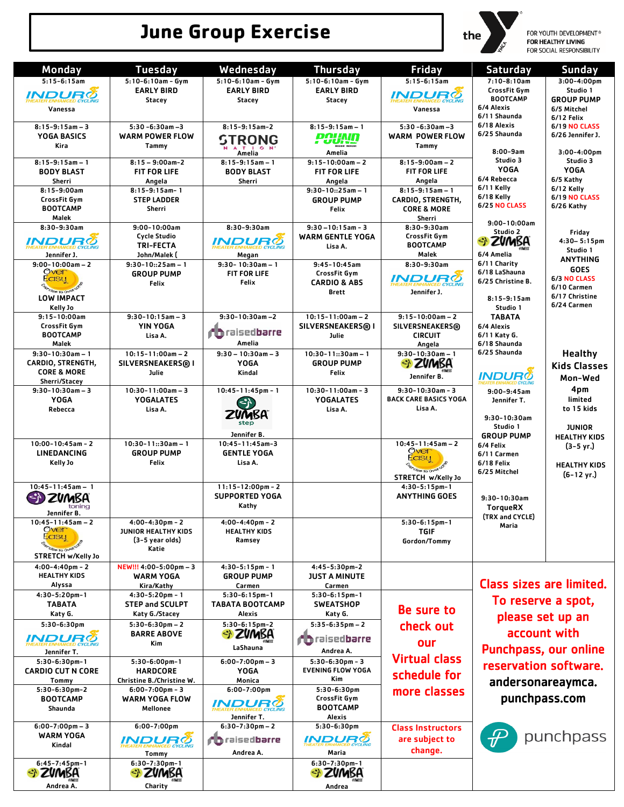# **June Group Exercise**



for Youth Development®<br>**For Healthy Living**<br>For Social Responsibility

| Monday                                       | <b>Tuesday</b>                               | Wednesday                                                 | <b>Thursday</b>                     | <b>Friday</b>                                | <b>Saturday</b>              | <b>Sunday</b>                  |
|----------------------------------------------|----------------------------------------------|-----------------------------------------------------------|-------------------------------------|----------------------------------------------|------------------------------|--------------------------------|
| $5:15-6:15am$                                | $5:10-6:10am - Gym$                          | $5:10-6:10am - Gym$                                       | $5:10-6:10am - Gym$                 | $5:15-6:15am$                                | $7:10-8:10am$                | $3:00-4:00$ pm                 |
| <i>INDURÖ</i>                                | <b>EARLY BIRD</b>                            | <b>EARLY BIRD</b>                                         | <b>EARLY BIRD</b>                   | <i><b>INDURØ</b></i>                         | CrossFit Gym                 | Studio 1                       |
|                                              | <b>Stacey</b>                                | Stacey                                                    | <b>Stacey</b>                       |                                              | <b>BOOTCAMP</b>              | <b>GROUP PUMP</b>              |
| Vanessa                                      |                                              |                                                           |                                     | Vanessa                                      | 6/4 Alexis<br>6/11 Shaunda   | 6/5 Mitchel<br>6/12 Felix      |
| $8:15-9:15am-3$                              | $5:30 - 6:30$ am $-3$                        | $8:15-9:15am-2$                                           | $8:15-9:15am-1$                     | $5:30 - 6:30$ am $-3$                        | 6/18 Alexis                  | <b>6/19 NO CLASS</b>           |
| YOGA BASICS                                  | <b>WARM POWER FLOW</b>                       | <b>STRONG</b>                                             | <b>POUND</b>                        | <b>WARM POWER FLOW</b>                       | 6/25 Shaunda                 | 6/26 Jennifer J.               |
| Kira                                         | Tammy                                        | ATION                                                     | Amelia                              | Tammy                                        | $8:00 - 9am$                 | 3:00-4:00pm                    |
| $8:15-9:15am - 1$                            | $8:15 - 9:00$ am-2                           | Amelia<br>$8:15-9:15am-1$                                 | $9:15 - 10:00am - 2$                | $8:15-9:00am - 2$                            | Studio 3                     | Studio 3                       |
| <b>BODY BLAST</b>                            | <b>FIT FOR LIFE</b>                          | <b>BODY BLAST</b>                                         | <b>FIT FOR LIFE</b>                 | <b>FIT FOR LIFE</b>                          | <b>YOGA</b>                  | <b>YOGA</b>                    |
| Sherri                                       | Angela                                       | Sherri                                                    | Angela                              | Angela                                       | 6/4 Rebecca<br>6/11 Kelly    | 6/5 Kathy                      |
| $8:15-9:00am$<br>CrossFit Gym                | $8:15-9:15am-1$<br><b>STEP LADDER</b>        |                                                           | $9:30-10::25am-1$                   | $8:15-9:15am-1$                              | 6/18 Kelly                   | 6/12 Kelly<br>6/19 NO CLASS    |
| <b>BOOTCAMP</b>                              | Sherri                                       |                                                           | <b>GROUP PUMP</b><br>Felix          | CARDIO, STRENGTH,<br><b>CORE &amp; MORE</b>  | <b>6/25 NO CLASS</b>         | 6/26 Kathy                     |
| Malek                                        |                                              |                                                           |                                     | Sherri                                       | $9:00 - 10:00am$             |                                |
| $8:30-9:30am$                                | 9:00-10:00am                                 | $8:30-9:30am$                                             | $9:30 - 10:15$ am - 3               | 8:30-9:30am                                  | Studio 2                     | Friday                         |
| INDURÕ                                       | <b>Cycle Studio</b><br><b>TRI-FECTA</b>      | <i>INDUR®</i>                                             | <b>WARM GENTLE YOGA</b>             | CrossFit Gym<br><b>BOOTCAMP</b>              | ZVMBA                        | $4:30 - 5:15$ pm               |
| Jennifer J.                                  | John/Malek (                                 | Megan                                                     | Lisa A.                             | Malek                                        | 6/4 Amelia                   | Studio 1                       |
| $9:00-10:00am - 2$                           | $9:30-10::25am-1$                            | $9:30 - 10:30$ am - 1                                     | $9:45 - 10:45$ am                   | 8:30-9:30am                                  | 6/11 Charity                 | <b>ANYTHING</b><br><b>GOES</b> |
| over<br><b>Easy</b>                          | <b>GROUP PUMP</b>                            | <b>FIT FOR LIFE</b>                                       | CrossFit Gym                        | INDURØ                                       | 6/18 LaShauna                | 6/3 NO CLASS                   |
| <b>Dise to over</b>                          | Felix                                        | Felix                                                     | <b>CARDIO &amp; ABS</b>             |                                              | 6/25 Christine B.            | 6/10 Carmen                    |
| LOW IMPACT                                   |                                              |                                                           | <b>Brett</b>                        | Jennifer J.                                  | $8:15-9:15am$                | 6/17 Christine                 |
| Kelly Jo                                     |                                              |                                                           |                                     |                                              | Studio 1                     | 6/24 Carmen                    |
| $9:15 - 10:00am$<br>CrossFit Gym             | $9:30-10:15am-3$<br>YIN YOGA                 | $9:30-10:30$ am $-2$                                      | $10:15 - 11:00am - 2$               | $9:15-10:00am - 2$<br><b>SILVERSNEAKERS®</b> | <b>TABATA</b><br>6/4 Alexis  |                                |
| <b>BOOTCAMP</b>                              | Lisa A.                                      | raisedbarre                                               | SILVERSNEAKERS® I<br>Julie          | <b>CIRCUIT</b>                               | 6/11 Katy G.                 |                                |
| Malek                                        |                                              | Amelia                                                    |                                     | Angela                                       | 6/18 Shaunda                 |                                |
| $9:30-10:30am-1$                             | $10:15 - 11:00am - 2$                        | $9:30 - 10:30$ am - 3                                     | $10:30-11::30am-1$                  | $9:30-10:30am - 1$                           | 6/25 Shaunda                 | <b>Healthy</b>                 |
| CARDIO, STRENGTH,<br><b>CORE &amp; MORE</b>  | SILVERSNEAKERS® I                            | <b>YOGA</b>                                               | <b>GROUP PUMP</b>                   |                                              |                              | <b>Kids Classes</b>            |
| Sherri/Stacey                                | Julie                                        | Kindal                                                    | Felix                               | Jennifer B.                                  | <b>INDURめ</b>                | Mon-Wed                        |
| $9:30-10:30am-3$                             | $10:30 - 11:00am - 3$                        | $10:45 - 11:45$ pm - 1                                    | $10:30-11:00am - 3$                 | $9:30-10:30am - 3$                           | $9:00 - 9:45$ am             | 4pm                            |
| <b>YOGA</b>                                  | <b>YOGALATES</b>                             | $\left\{ \begin{matrix} \mathbf{c} \end{matrix} \right\}$ | <b>YOGALATES</b>                    | <b>BACK CARE BASICS YOGA</b>                 | Jennifer T.                  | limited                        |
| Rebecca                                      | Lisa A.                                      | ZUMBA                                                     | Lisa A.                             | Lisa A.                                      | $9:30 - 10:30$ am            | to 15 kids                     |
|                                              |                                              | step                                                      |                                     |                                              | Studio 1                     | <b>JUNIOR</b>                  |
|                                              |                                              | Jennifer B.                                               |                                     |                                              | <b>GROUP PUMP</b>            | <b>HEALTHY KIDS</b>            |
| $10:00 - 10:45$ am - 2<br><b>LINEDANCING</b> | $10:30-11::30am-1$<br><b>GROUP PUMP</b>      | 10:45-11:45am-3<br><b>GENTLE YOGA</b>                     |                                     | $10:45-11:45am - 2$<br>Over                  | 6/4 Felix                    | $(3-5 \text{ yr.})$            |
| Kelly Jo                                     | Felix                                        | Lisa A.                                                   |                                     | Easu                                         | 6/11 Carmen<br>6/18 Felix    | <b>HEALTHY KIDS</b>            |
|                                              |                                              |                                                           |                                     | Se to OVE                                    | 6/25 Mitchel                 | $(6-12 \text{ yr.})$           |
| $10:45 - 11:45$ am - 1                       |                                              | $11:15-12:00$ pm - 2                                      |                                     | STRETCH w/Kelly Jo<br>$4:30-5:15$ pm-1       |                              |                                |
|                                              |                                              | <b>SUPPORTED YOGA</b>                                     |                                     | <b>ANYTHING GOES</b>                         | $9:30-10:30am$               |                                |
| toning                                       |                                              | Kathy                                                     |                                     |                                              | <b>TorqueRX</b>              |                                |
| Jennifer B.<br>$10:45 - 11:45$ am - 2        | $4:00-4:30$ pm - 2                           | $4:00-4:40$ pm – 2                                        |                                     | $5:30-6:15$ pm-1                             | (TRX and CYCLE)              |                                |
| Over                                         | <b>JUNIOR HEALTHY KIDS</b>                   | <b>HEALTHY KIDS</b>                                       |                                     | TGIF                                         | Maria                        |                                |
| Easy                                         | (3-5 year olds)                              | Ramsey                                                    |                                     | Gordon/Tommy                                 |                              |                                |
| STRETCH w/Kelly Jo                           | Katie                                        |                                                           |                                     |                                              |                              |                                |
| $4:00 - 4:40$ pm - 2                         | NEW!!! 4:00-5:00pm - 3                       | $4:30-5:15$ pm - 1                                        | 4:45-5:30pm-2                       |                                              |                              |                                |
| <b>HEALTHY KIDS</b>                          | WARM YOGA                                    | <b>GROUP PUMP</b>                                         | <b>JUST A MINUTE</b>                |                                              |                              |                                |
| Alyssa                                       | Kira/Kathy                                   | Carmen                                                    | Carmen                              |                                              | Class sizes are limited.     |                                |
| 4:30-5:20pm-1<br><b>TABATA</b>               | $4:30-5:20$ pm - 1<br><b>STEP and SCULPT</b> | $5:30-6:15pm-1$<br><b>TABATA BOOTCAMP</b>                 | $5:30-6:15pm-1$<br><b>SWEATSHOP</b> |                                              | To reserve a spot,           |                                |
| Katy G.                                      | Katy G./Stacey                               | Alexis                                                    | Katy G.                             | Be sure to                                   | please set up an             |                                |
| 5:30-6:30pm                                  | $5:30-6:30$ pm - 2                           | 5:30-6:15pm-2                                             | $5:35-6:35pm-2$                     | check out                                    |                              |                                |
| <i>INDURØ</i>                                | <b>BARRE ABOVE</b>                           | SI ZVMBA                                                  | <b>in</b> raisedbarre               |                                              | account with                 |                                |
|                                              | Kim                                          | LaShauna                                                  | Andrea A.                           | our                                          | <b>Punchpass, our online</b> |                                |
| Jennifer T.<br>$5:30-6:30$ pm-1              | $5:30-6:00$ pm-1                             | $6:00 - 7:00$ pm - 3                                      | $5:30-6:30$ pm - 3                  | <b>Virtual class</b>                         |                              |                                |
| <b>CARDIO CUT N CORE</b>                     | <b>HARDCORE</b>                              | YOGA                                                      | <b>EVENING FLOW YOGA</b>            | schedule for                                 | reservation software.        |                                |
| Tommy                                        | Christine B./Christine W.                    | Monica                                                    | Kim                                 |                                              | andersonareaymca.            |                                |
| $5:30-6:30$ pm-2                             | $6:00-7:00$ pm - 3                           | $6:00 - 7:00$ pm                                          | $5:30-6:30pm$                       | more classes                                 |                              |                                |
| <b>BOOTCAMP</b><br>Shaunda                   | <b>WARM YOGA FLOW</b><br>Mellonee            | <i><b>INDURC</b></i>                                      | CrossFit Gym<br><b>BOOTCAMP</b>     |                                              | punchpass.com                |                                |
|                                              |                                              | Jennifer T.                                               | Alexis                              |                                              |                              |                                |
| $6:00 - 7:00$ pm - 3                         | $6:00 - 7:00$ pm                             | $6:30-7:30$ pm - 2                                        | 5:30-6:30pm                         | <b>Class Instructors</b>                     |                              |                                |
| <b>WARM YOGA</b>                             | <i>INDUR®</i>                                | <b>O</b> raisedbarre                                      | <i>INDUR®</i>                       | are subject to                               | 命                            | punchpass                      |
| Kindal                                       | Tommy                                        | Andrea A.                                                 | Maria                               | change.                                      |                              |                                |
| $6:45 - 7:45$ pm-1                           | $6:30-7:30$ pm-1                             |                                                           | 6:30-7:30pm-1                       |                                              |                              |                                |
|                                              | zvmba                                        |                                                           | zvmba                               |                                              |                              |                                |
| Andrea A.                                    | Charity                                      |                                                           | Andrea                              |                                              |                              |                                |